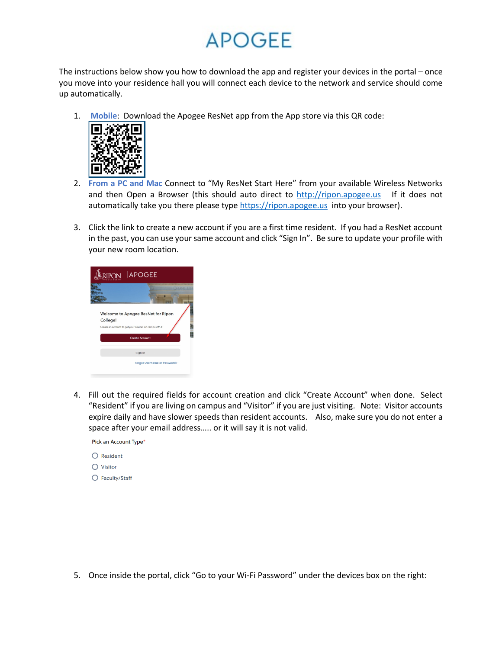# **APOGEE**

The instructions below show you how to download the app and register your devices in the portal – once you move into your residence hall you will connect each device to the network and service should come up automatically.

1. **Mobile**: Download the Apogee ResNet app from the App store via this QR code:



- 2. **From a PC and Mac** Connect to "My ResNet Start Here" from your available Wireless Networks and then Open a Browser (this should auto direct to [http://ripon.apogee.us](http://ripon.apogee.us/) If it does not automatically take you there please typ[e https://ripon.apogee.us](https://ripon.apogee.us/) into your browser).
- 3. Click the link to create a new account if you are a first time resident. If you had a ResNet account in the past, you can use your same account and click "Sign In". Be sure to update your profile with your new room location.

|          | RIPON APOGEE                                                                                                         |  |
|----------|----------------------------------------------------------------------------------------------------------------------|--|
|          |                                                                                                                      |  |
| College! | Welcome to Apogee ResNet for Ripon<br>Create an account to get your devices on campus Wi-Fi<br><b>Create Account</b> |  |
|          | Sign In                                                                                                              |  |
|          | Forgot Username or Password?                                                                                         |  |

4. Fill out the required fields for account creation and click "Create Account" when done. Select "Resident" if you are living on campus and "Visitor" if you are just visiting. Note: Visitor accounts expire daily and have slower speeds than resident accounts. Also, make sure you do not enter a space after your email address….. or it will say it is not valid.

Pick an Account Type\*

- $O$  Resident  $\bigcirc$  Visitor
- Faculty/Staff

5. Once inside the portal, click "Go to your Wi-Fi Password" under the devices box on the right: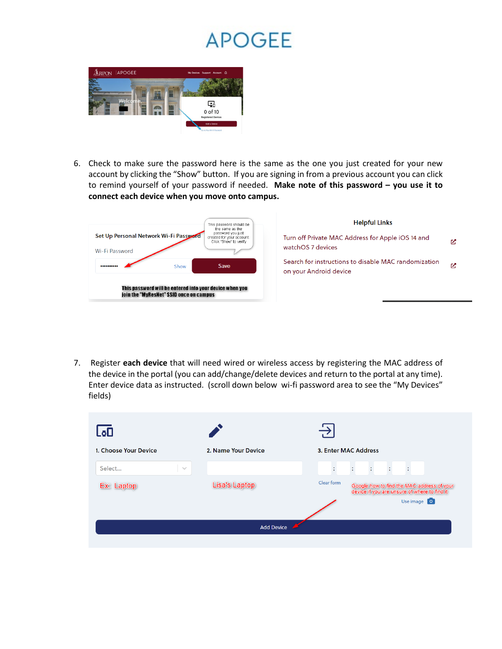### **APOGEE**



6. Check to make sure the password here is the same as the one you just created for your new account by clicking the "Show" button. If you are signing in from a previous account you can click to remind yourself of your password if needed. **Make note of this password – you use it to connect each device when you move onto campus.** 



7. Register **each device** that will need wired or wireless access by registering the MAC address of the device in the portal (you can add/change/delete devices and return to the portal at any time). Enter device data as instructed. (scroll down below wi-fi password area to see the "My Devices" fields)

| LەL                   |                     |                                                                                                                         |
|-----------------------|---------------------|-------------------------------------------------------------------------------------------------------------------------|
| 1. Choose Your Device | 2. Name Your Device | 3. Enter MAC Address                                                                                                    |
| Select<br>$\sim$      |                     | ÷<br>÷.<br>÷<br>÷.<br>÷                                                                                                 |
| Ex: Laptop            | Lisa's Laptop       | Clear form<br>Google how to find the MAC address of your<br>device if you are unsure of where to find it<br>Use image 0 |
|                       | <b>Add Device</b>   |                                                                                                                         |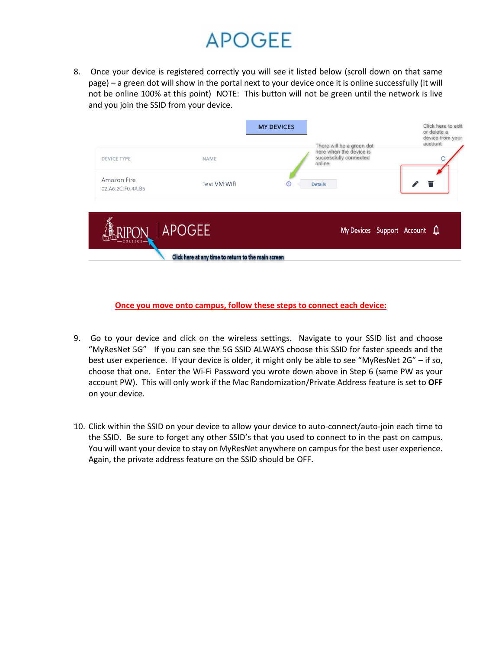## **APOGFF**

8. Once your device is registered correctly you will see it listed below (scroll down on that same page) – a green dot will show in the portal next to your device once it is online successfully (it will not be online 100% at this point) NOTE: This button will not be green until the network is live and you join the SSID from your device.

| <b>DEVICE TYPE</b>                      | <b>NAME</b>                                         | <b>MY DEVICES</b> | There will be a green dot<br>here when the device is<br>successfully connected<br>online | Click here to edit<br>or delete a<br>device from your<br>account |
|-----------------------------------------|-----------------------------------------------------|-------------------|------------------------------------------------------------------------------------------|------------------------------------------------------------------|
| <b>Amazon Fire</b><br>02:A6:2C:F0:4A:B5 | <b>Test VM Wifi</b>                                 | $\circ$           | <b>Details</b>                                                                           |                                                                  |
|                                         | <b>APOGEE</b>                                       |                   | My Devices Support Account $\mathbf{\Omega}$                                             |                                                                  |
|                                         | Click here at any time to return to the main screen |                   |                                                                                          |                                                                  |

**Once you move onto campus, follow these steps to connect each device:**

- 9. Go to your device and click on the wireless settings. Navigate to your SSID list and choose "MyResNet 5G" If you can see the 5G SSID ALWAYS choose this SSID for faster speeds and the best user experience. If your device is older, it might only be able to see "MyResNet 2G" – if so, choose that one. Enter the Wi-Fi Password you wrote down above in Step 6 (same PW as your account PW). This will only work if the Mac Randomization/Private Address feature is set to **OFF** on your device.
- 10. Click within the SSID on your device to allow your device to auto-connect/auto-join each time to the SSID. Be sure to forget any other SSID's that you used to connect to in the past on campus. You will want your device to stay on MyResNet anywhere on campus for the best user experience. Again, the private address feature on the SSID should be OFF.